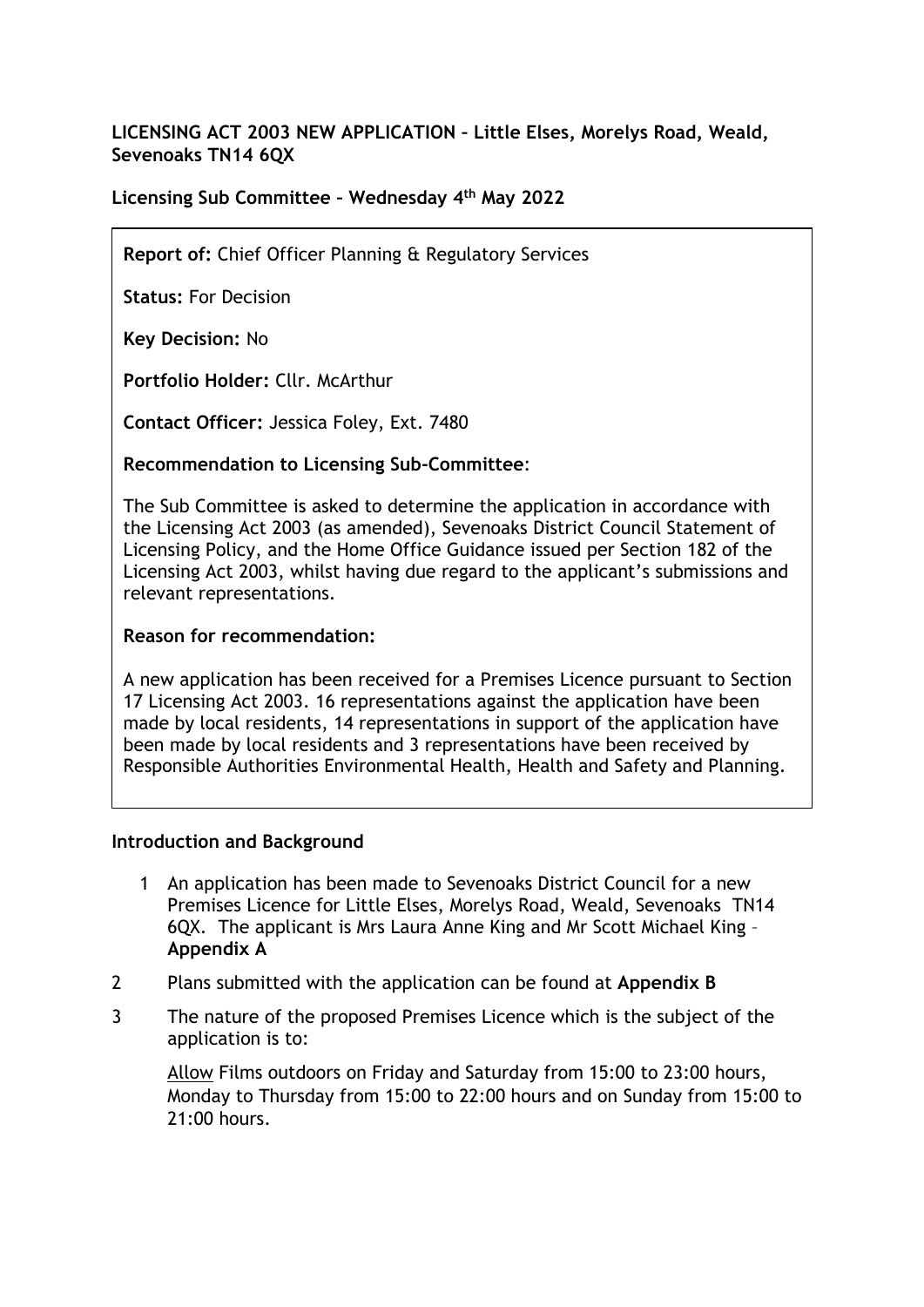# **LICENSING ACT 2003 NEW APPLICATION – Little Elses, Morelys Road, Weald, Sevenoaks TN14 6QX**

# **Licensing Sub Committee – Wednesday 4 th May 2022**

**Report of:** Chief Officer Planning & Regulatory Services

**Status:** For Decision

**Key Decision:** No

**Portfolio Holder:** Cllr. McArthur

**Contact Officer:** Jessica Foley, Ext. 7480

### **Recommendation to Licensing Sub-Committee**:

The Sub Committee is asked to determine the application in accordance with the Licensing Act 2003 (as amended), Sevenoaks District Council Statement of Licensing Policy, and the Home Office Guidance issued per Section 182 of the Licensing Act 2003, whilst having due regard to the applicant's submissions and relevant representations.

### **Reason for recommendation:**

A new application has been received for a Premises Licence pursuant to Section 17 Licensing Act 2003. 16 representations against the application have been made by local residents, 14 representations in support of the application have been made by local residents and 3 representations have been received by Responsible Authorities Environmental Health, Health and Safety and Planning.

### **Introduction and Background**

- 1 An application has been made to Sevenoaks District Council for a new Premises Licence for Little Elses, Morelys Road, Weald, Sevenoaks TN14 6QX. The applicant is Mrs Laura Anne King and Mr Scott Michael King – **Appendix A**
- 2 Plans submitted with the application can be found at **Appendix B**
- 3 The nature of the proposed Premises Licence which is the subject of the application is to:

Allow Films outdoors on Friday and Saturday from 15:00 to 23:00 hours, Monday to Thursday from 15:00 to 22:00 hours and on Sunday from 15:00 to 21:00 hours.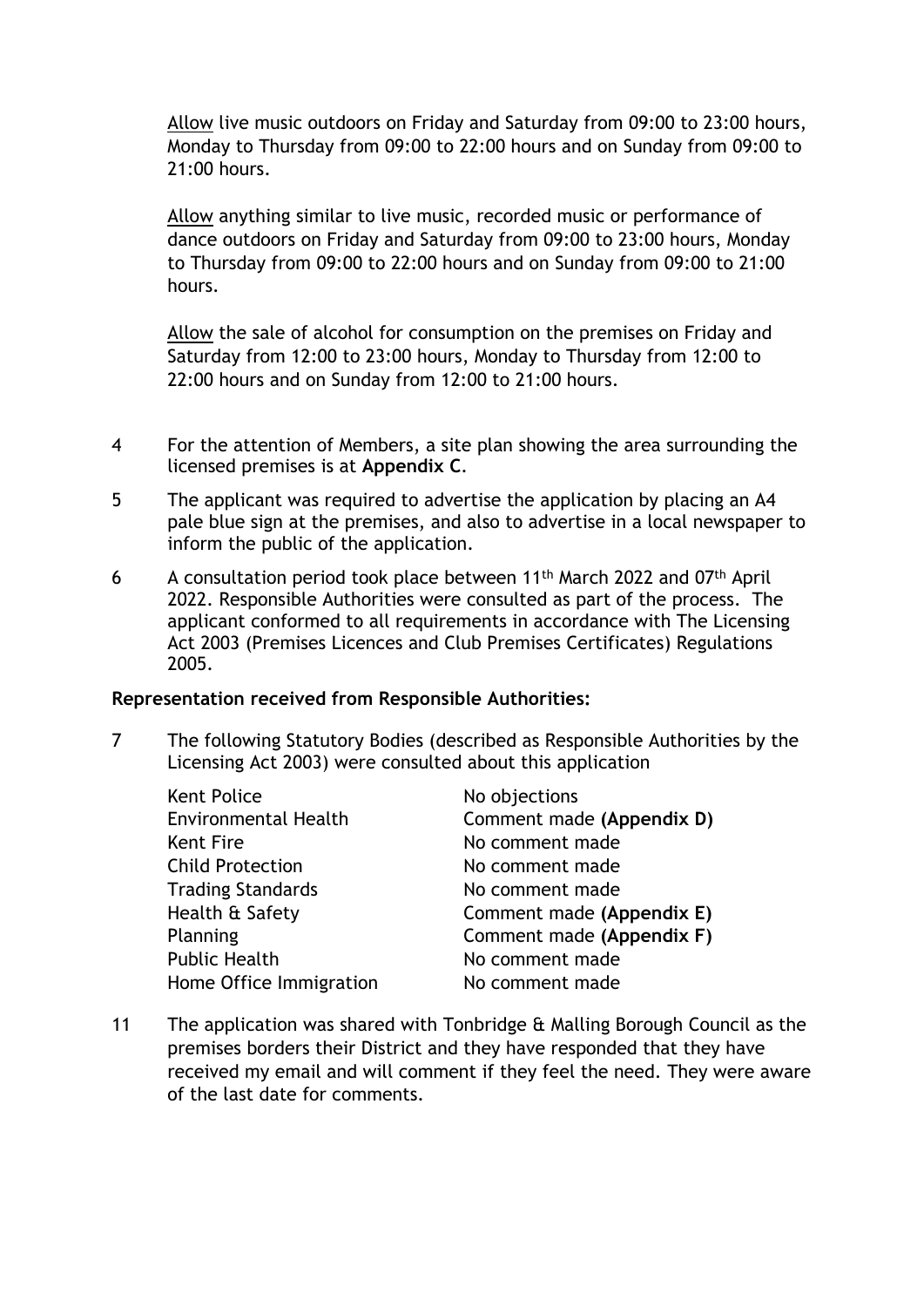Allow live music outdoors on Friday and Saturday from 09:00 to 23:00 hours, Monday to Thursday from 09:00 to 22:00 hours and on Sunday from 09:00 to 21:00 hours.

Allow anything similar to live music, recorded music or performance of dance outdoors on Friday and Saturday from 09:00 to 23:00 hours, Monday to Thursday from 09:00 to 22:00 hours and on Sunday from 09:00 to 21:00 hours.

Allow the sale of alcohol for consumption on the premises on Friday and Saturday from 12:00 to 23:00 hours, Monday to Thursday from 12:00 to 22:00 hours and on Sunday from 12:00 to 21:00 hours.

- 4 For the attention of Members, a site plan showing the area surrounding the licensed premises is at **Appendix C**.
- 5 The applicant was required to advertise the application by placing an A4 pale blue sign at the premises, and also to advertise in a local newspaper to inform the public of the application.
- 6 A consultation period took place between 11<sup>th</sup> March 2022 and 07<sup>th</sup> April 2022. Responsible Authorities were consulted as part of the process. The applicant conformed to all requirements in accordance with The Licensing Act 2003 (Premises Licences and Club Premises Certificates) Regulations 2005.

### **Representation received from Responsible Authorities:**

7 The following Statutory Bodies (described as Responsible Authorities by the Licensing Act 2003) were consulted about this application

| <b>Kent Police</b>          | No objections             |
|-----------------------------|---------------------------|
| <b>Environmental Health</b> | Comment made (Appendix D) |
| Kent Fire                   | No comment made           |
| <b>Child Protection</b>     | No comment made           |
| <b>Trading Standards</b>    | No comment made           |
| Health & Safety             | Comment made (Appendix E) |
| Planning                    | Comment made (Appendix F) |
| <b>Public Health</b>        | No comment made           |
| Home Office Immigration     | No comment made           |

11 The application was shared with Tonbridge & Malling Borough Council as the premises borders their District and they have responded that they have received my email and will comment if they feel the need. They were aware of the last date for comments.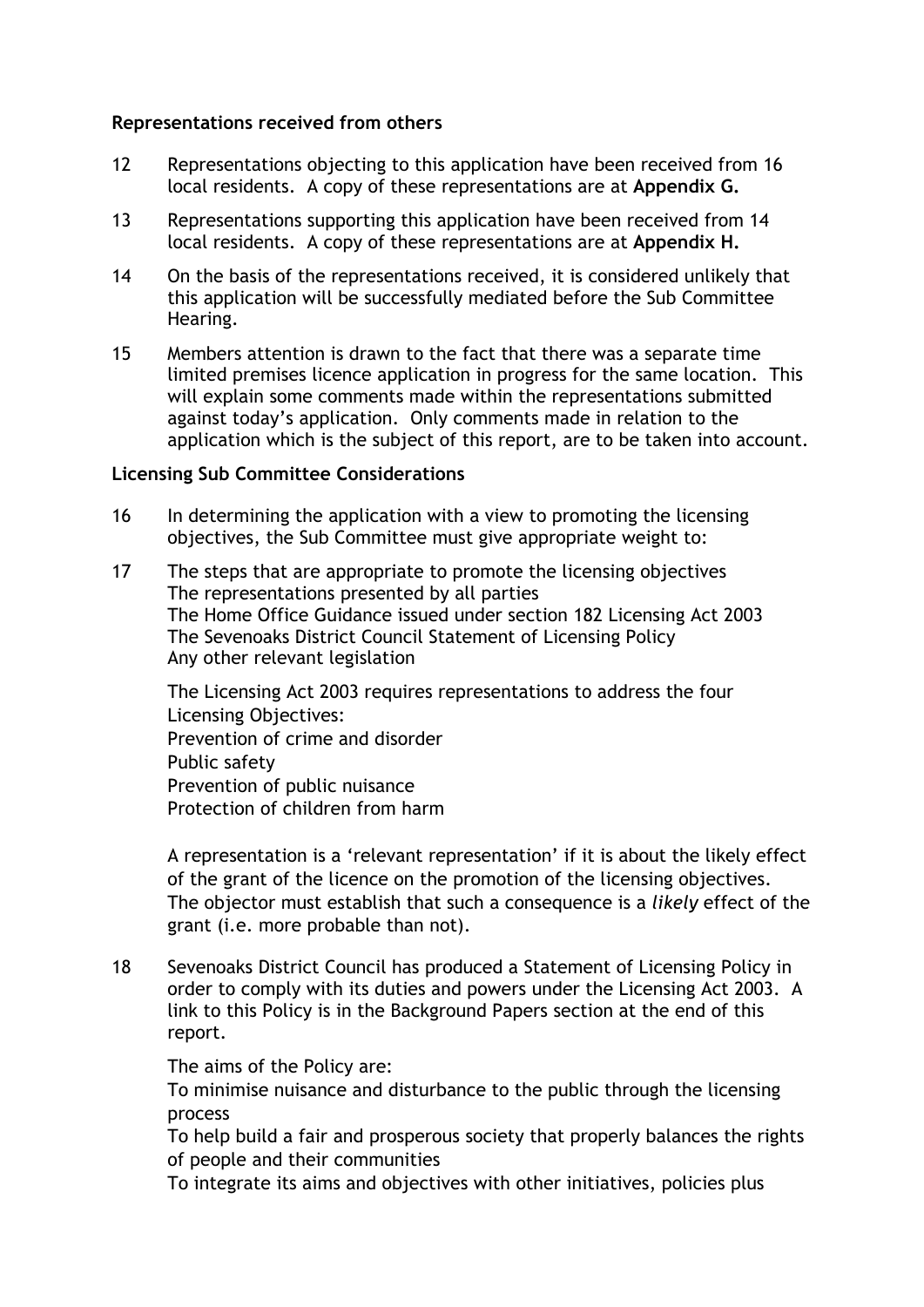### **Representations received from others**

- 12 Representations objecting to this application have been received from 16 local residents. A copy of these representations are at **Appendix G.**
- 13 Representations supporting this application have been received from 14 local residents. A copy of these representations are at **Appendix H.**
- 14 On the basis of the representations received, it is considered unlikely that this application will be successfully mediated before the Sub Committee Hearing.
- 15 Members attention is drawn to the fact that there was a separate time limited premises licence application in progress for the same location. This will explain some comments made within the representations submitted against today's application. Only comments made in relation to the application which is the subject of this report, are to be taken into account.

#### **Licensing Sub Committee Considerations**

- 16 In determining the application with a view to promoting the licensing objectives, the Sub Committee must give appropriate weight to:
- 17 The steps that are appropriate to promote the licensing objectives The representations presented by all parties The Home Office Guidance issued under section 182 Licensing Act 2003 The Sevenoaks District Council Statement of Licensing Policy Any other relevant legislation

The Licensing Act 2003 requires representations to address the four Licensing Objectives: Prevention of crime and disorder Public safety Prevention of public nuisance Protection of children from harm

A representation is a 'relevant representation' if it is about the likely effect of the grant of the licence on the promotion of the licensing objectives. The objector must establish that such a consequence is a *likely* effect of the grant (i.e. more probable than not).

18 Sevenoaks District Council has produced a Statement of Licensing Policy in order to comply with its duties and powers under the Licensing Act 2003. A link to this Policy is in the Background Papers section at the end of this report.

The aims of the Policy are:

To minimise nuisance and disturbance to the public through the licensing process

To help build a fair and prosperous society that properly balances the rights of people and their communities

To integrate its aims and objectives with other initiatives, policies plus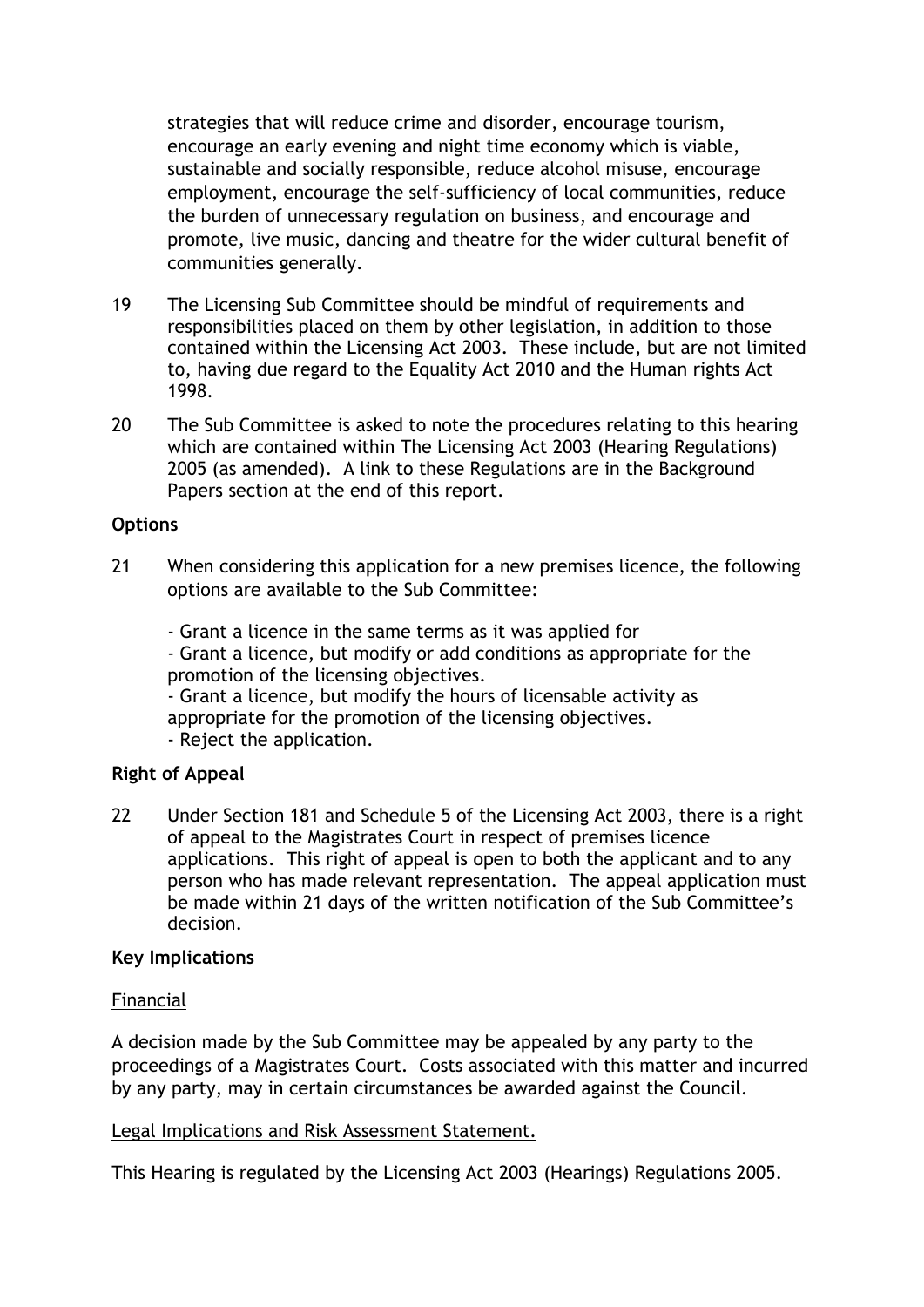strategies that will reduce crime and disorder, encourage tourism, encourage an early evening and night time economy which is viable, sustainable and socially responsible, reduce alcohol misuse, encourage employment, encourage the self-sufficiency of local communities, reduce the burden of unnecessary regulation on business, and encourage and promote, live music, dancing and theatre for the wider cultural benefit of communities generally.

- 19 The Licensing Sub Committee should be mindful of requirements and responsibilities placed on them by other legislation, in addition to those contained within the Licensing Act 2003. These include, but are not limited to, having due regard to the Equality Act 2010 and the Human rights Act 1998.
- 20 The Sub Committee is asked to note the procedures relating to this hearing which are contained within The Licensing Act 2003 (Hearing Regulations) 2005 (as amended). A link to these Regulations are in the Background Papers section at the end of this report.

### **Options**

21 When considering this application for a new premises licence, the following options are available to the Sub Committee:

- Grant a licence in the same terms as it was applied for

- Grant a licence, but modify or add conditions as appropriate for the promotion of the licensing objectives.

- Grant a licence, but modify the hours of licensable activity as appropriate for the promotion of the licensing objectives.

- Reject the application.

## **Right of Appeal**

22 Under Section 181 and Schedule 5 of the Licensing Act 2003, there is a right of appeal to the Magistrates Court in respect of premises licence applications. This right of appeal is open to both the applicant and to any person who has made relevant representation. The appeal application must be made within 21 days of the written notification of the Sub Committee's decision.

### **Key Implications**

### Financial

A decision made by the Sub Committee may be appealed by any party to the proceedings of a Magistrates Court. Costs associated with this matter and incurred by any party, may in certain circumstances be awarded against the Council.

### Legal Implications and Risk Assessment Statement.

This Hearing is regulated by the Licensing Act 2003 (Hearings) Regulations 2005.